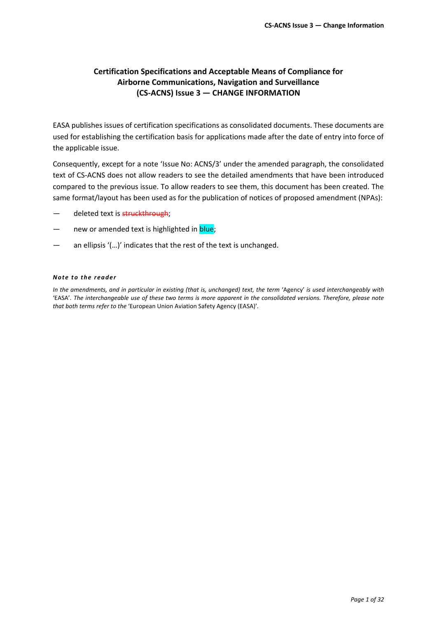### **Certification Specifications and Acceptable Means of Compliance for Airborne Communications, Navigation and Surveillance (CS-ACNS) Issue 3 — CHANGE INFORMATION**

EASA publishes issues of certification specifications as consolidated documents. These documents are used for establishing the certification basis for applications made after the date of entry into force of the applicable issue.

Consequently, except for a note 'Issue No: ACNS/3' under the amended paragraph, the consolidated text of CS-ACNS does not allow readers to see the detailed amendments that have been introduced compared to the previous issue. To allow readers to see them, this document has been created. The same format/layout has been used as for the publication of notices of proposed amendment (NPAs):

- deleted text is struckthrough;
- new or amended text is highlighted in blue;
- an ellipsis '(...)' indicates that the rest of the text is unchanged.

#### *Note to the re ade r*

*In the amendments, and in particular in existing (that is, unchanged) text, the term* 'Agency' *is used interchangeably with*  'EASA'*. The interchangeable use of these two terms is more apparent in the consolidated versions. Therefore, please note that both terms refer to the* 'European Union Aviation Safety Agency (EASA)'*.*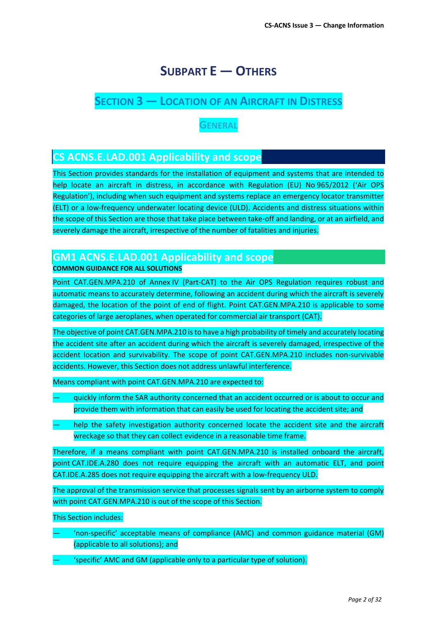# **SUBPART E — OTHERS**

## **SECTION 3 — LOCATION OF AN AIRCRAFT IN DISTRESS**

## **GENERAL**

## **CS ACNS.E.LAD.001 Applicability and scope**

This Section provides standards for the installation of equipment and systems that are intended to help locate an aircraft in distress, in accordance with Regulation (EU) No 965/2012 ('Air OPS Regulation'), including when such equipment and systems replace an emergency locator transmitter (ELT) or a low-frequency underwater locating device (ULD). Accidents and distress situations within the scope of this Section are those that take place between take-off and landing, or at an airfield, and severely damage the aircraft, irrespective of the number of fatalities and injuries.

### **GM1 ACNS.E.LAD.001 Applicability and scope COMMON GUIDANCE FOR ALL SOLUTIONS**

Point CAT.GEN.MPA.210 of Annex IV (Part-CAT) to the Air OPS Regulation requires robust and automatic means to accurately determine, following an accident during which the aircraft is severely damaged, the location of the point of end of flight. Point CAT.GEN.MPA.210 is applicable to some categories of large aeroplanes, when operated for commercial air transport (CAT).

The objective of point CAT.GEN.MPA.210 is to have a high probability of timely and accurately locating the accident site after an accident during which the aircraft is severely damaged, irrespective of the accident location and survivability. The scope of point CAT.GEN.MPA.210 includes non-survivable accidents. However, this Section does not address unlawful interference.

Means compliant with point CAT.GEN.MPA.210 are expected to:

- quickly inform the SAR authority concerned that an accident occurred or is about to occur and provide them with information that can easily be used for locating the accident site; and
- help the safety investigation authority concerned locate the accident site and the aircraft wreckage so that they can collect evidence in a reasonable time frame.

Therefore, if a means compliant with point CAT.GEN.MPA.210 is installed onboard the aircraft, point CAT.IDE.A.280 does not require equipping the aircraft with an automatic ELT, and point CAT.IDE.A.285 does not require equipping the aircraft with a low-frequency ULD.

The approval of the transmission service that processes signals sent by an airborne system to comply with point CAT.GEN.MPA.210 is out of the scope of this Section.

This Section includes:

- 'non-specific' acceptable means of compliance (AMC) and common guidance material (GM) (applicable to all solutions); and
- 'specific' AMC and GM (applicable only to a particular type of solution).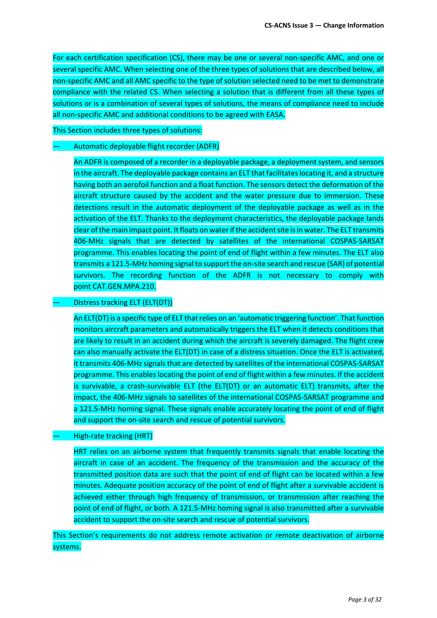For each certification specification (CS), there may be one or several non-specific AMC, and one or several specific AMC. When selecting one of the three types of solutions that are described below, all non-specific AMC and all AMC specific to the type of solution selected need to be met to demonstrate compliance with the related CS. When selecting a solution that is different from all these types of solutions or is a combination of several types of solutions, the means of compliance need to include all non-specific AMC and additional conditions to be agreed with EASA.

This Section includes three types of solutions:

#### — Automatic deployable flight recorder (ADFR)

An ADFR is composed of a recorder in a deployable package, a deployment system, and sensors in the aircraft. The deployable package contains an ELT that facilitates locating it, and a structure having both an aerofoil function and a float function. The sensors detect the deformation of the aircraft structure caused by the accident and the water pressure due to immersion. These detections result in the automatic deployment of the deployable package as well as in the activation of the ELT. Thanks to the deployment characteristics, the deployable package lands clear of the main impact point. It floats on water if the accidentsite is in water. The ELT transmits 406-MHz signals that are detected by satellites of the international COSPAS-SARSAT programme. This enables locating the point of end of flight within a few minutes. The ELT also transmits a 121.5-MHz homing signal to support the on-site search and rescue (SAR) of potential survivors. The recording function of the ADFR is not necessary to comply with point CAT.GEN.MPA.210.

#### — Distress tracking ELT (ELT(DT))

An ELT(DT) is a specific type of ELT that relies on an 'automatic triggering function'. That function monitors aircraft parameters and automatically triggers the ELT when it detects conditions that are likely to result in an accident during which the aircraft is severely damaged. The flight crew can also manually activate the ELT(DT) in case of a distress situation. Once the ELT is activated, it transmits 406-MHz signals that are detected by satellites of the international COSPAS-SARSAT programme. This enables locating the point of end of flight within a few minutes. If the accident is survivable, a crash-survivable ELT (the ELT(DT) or an automatic ELT) transmits, after the impact, the 406-MHz signals to satellites of the international COSPAS-SARSAT programme and a 121.5-MHz homing signal. These signals enable accurately locating the point of end of flight and support the on-site search and rescue of potential survivors.

#### — High-rate tracking (HRT)

HRT relies on an airborne system that frequently transmits signals that enable locating the aircraft in case of an accident. The frequency of the transmission and the accuracy of the transmitted position data are such that the point of end of flight can be located within a few minutes. Adequate position accuracy of the point of end of flight after a survivable accident is achieved either through high frequency of transmission, or transmission after reaching the point of end of flight, or both. A 121.5-MHz homing signal is also transmitted after a survivable accident to support the on-site search and rescue of potential survivors.

This Section's requirements do not address remote activation or remote deactivation of airborne systems.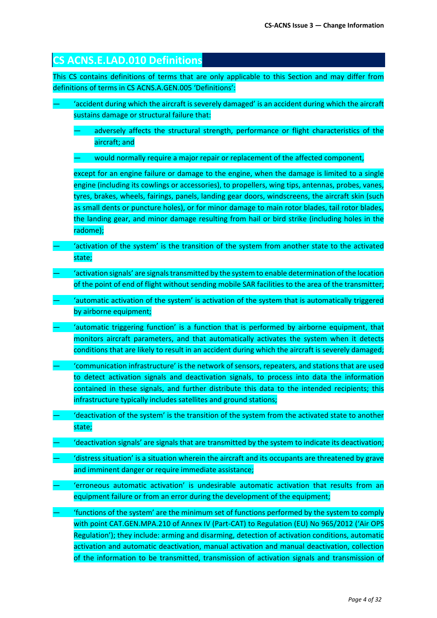| <b>CS ACNS.E.LAD.010 Definitions</b>                                                                                                                                                                                                                                                                                                                                                                                                                                                                                    |
|-------------------------------------------------------------------------------------------------------------------------------------------------------------------------------------------------------------------------------------------------------------------------------------------------------------------------------------------------------------------------------------------------------------------------------------------------------------------------------------------------------------------------|
| This CS contains definitions of terms that are only applicable to this Section and may differ from<br>definitions of terms in CS ACNS.A.GEN.005 'Definitions':                                                                                                                                                                                                                                                                                                                                                          |
| 'accident during which the aircraft is severely damaged' is an accident during which the aircraft<br>sustains damage or structural failure that:                                                                                                                                                                                                                                                                                                                                                                        |
| adversely affects the structural strength, performance or flight characteristics of the<br>aircraft; and                                                                                                                                                                                                                                                                                                                                                                                                                |
| would normally require a major repair or replacement of the affected component,                                                                                                                                                                                                                                                                                                                                                                                                                                         |
| except for an engine failure or damage to the engine, when the damage is limited to a single<br>engine (including its cowlings or accessories), to propellers, wing tips, antennas, probes, vanes,<br>tyres, brakes, wheels, fairings, panels, landing gear doors, windscreens, the aircraft skin (such<br>as small dents or puncture holes), or for minor damage to main rotor blades, tail rotor blades,<br>the landing gear, and minor damage resulting from hail or bird strike (including holes in the<br>radome); |
| 'activation of the system' is the transition of the system from another state to the activated<br>state;                                                                                                                                                                                                                                                                                                                                                                                                                |
| activation signals' are signals transmitted by the system to enable determination of the location'<br>of the point of end of flight without sending mobile SAR facilities to the area of the transmitter;                                                                                                                                                                                                                                                                                                               |
| 'automatic activation of the system' is activation of the system that is automatically triggered<br>by airborne equipment;                                                                                                                                                                                                                                                                                                                                                                                              |
| 'automatic triggering function' is a function that is performed by airborne equipment, that<br>monitors aircraft parameters, and that automatically activates the system when it detects<br>conditions that are likely to result in an accident during which the aircraft is severely damaged;                                                                                                                                                                                                                          |
| 'communication infrastructure' is the network of sensors, repeaters, and stations that are used<br>to detect activation signals and deactivation signals, to process into data the information<br>contained in these signals, and further distribute this data to the intended recipients; this<br>infrastructure typically includes satellites and ground stations;                                                                                                                                                    |
| 'deactivation of the system' is the transition of the system from the activated state to another<br>state;                                                                                                                                                                                                                                                                                                                                                                                                              |
| 'deactivation signals' are signals that are transmitted by the system to indicate its deactivation;                                                                                                                                                                                                                                                                                                                                                                                                                     |
| 'distress situation' is a situation wherein the aircraft and its occupants are threatened by grave<br>and imminent danger or require immediate assistance;                                                                                                                                                                                                                                                                                                                                                              |
| 'erroneous automatic activation' is undesirable automatic activation that results from an<br>equipment failure or from an error during the development of the equipment;                                                                                                                                                                                                                                                                                                                                                |
| 'functions of the system' are the minimum set of functions performed by the system to comply<br>with point CAT.GEN.MPA.210 of Annex IV (Part-CAT) to Regulation (EU) No 965/2012 ('Air OPS<br>Regulation'); they include: arming and disarming, detection of activation conditions, automatic<br>activation and automatic deactivation, manual activation and manual deactivation, collection<br>of the information to be transmitted, transmission of activation signals and transmission of                           |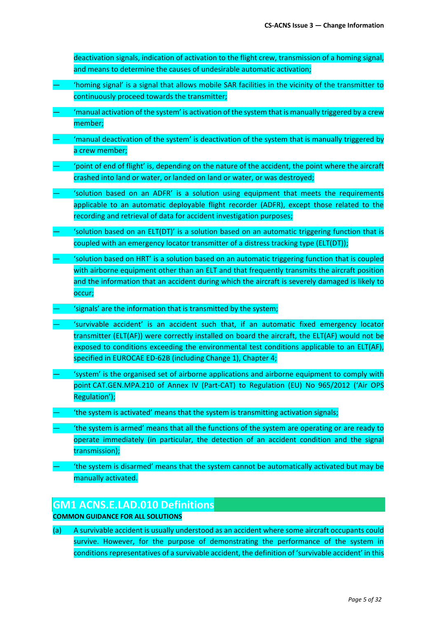deactivation signals, indication of activation to the flight crew, transmission of a homing signal, and means to determine the causes of undesirable automatic activation;

- 'homing signal' is a signal that allows mobile SAR facilities in the vicinity of the transmitter to continuously proceed towards the transmitter;
- 'manual activation of the system' is activation of the system that is manually triggered by a crew member;
- 'manual deactivation of the system' is deactivation of the system that is manually triggered by a crew member;
- 'point of end of flight' is, depending on the nature of the accident, the point where the aircraft crashed into land or water, or landed on land or water, or was destroyed;
- 'solution based on an ADFR' is a solution using equipment that meets the requirements applicable to an automatic deployable flight recorder (ADFR), except those related to the recording and retrieval of data for accident investigation purposes;
- 'solution based on an ELT(DT)' is a solution based on an automatic triggering function that is coupled with an emergency locator transmitter of a distress tracking type (ELT(DT));
- 'solution based on HRT' is a solution based on an automatic triggering function that is coupled with airborne equipment other than an ELT and that frequently transmits the aircraft position and the information that an accident during which the aircraft is severely damaged is likely to occur;
- 'signals' are the information that is transmitted by the system;
- 'survivable accident' is an accident such that, if an automatic fixed emergency locator transmitter (ELT(AF)) were correctly installed on board the aircraft, the ELT(AF) would not be exposed to conditions exceeding the environmental test conditions applicable to an ELT(AF), specified in EUROCAE ED-62B (including Change 1), Chapter 4;
- 'system' is the organised set of airborne applications and airborne equipment to comply with point CAT.GEN.MPA.210 of Annex IV (Part-CAT) to Regulation (EU) No 965/2012 ('Air OPS Regulation');
- 'the system is activated' means that the system is transmitting activation signals;
- 'the system is armed' means that all the functions of the system are operating or are ready to operate immediately (in particular, the detection of an accident condition and the signal transmission);
- 'the system is disarmed' means that the system cannot be automatically activated but may be manually activated.

### **GM1 ACNS.E.LAD.010 Definitions**

#### **COMMON GUIDANCE FOR ALL SOLUTIONS**

(a) A survivable accident is usually understood as an accident where some aircraft occupants could survive. However, for the purpose of demonstrating the performance of the system in conditions representatives of a survivable accident, the definition of 'survivable accident' in this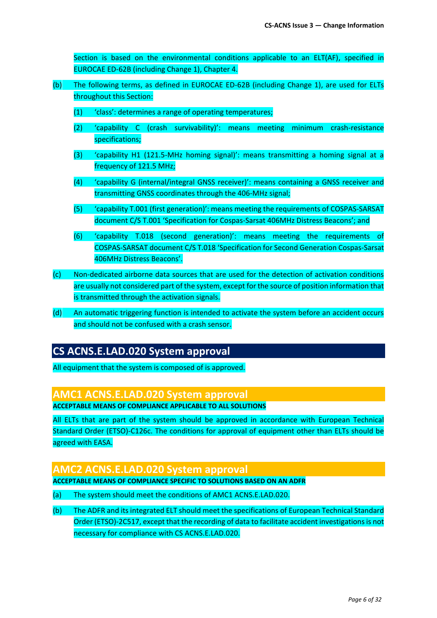Section is based on the environmental conditions applicable to an ELT(AF), specified in EUROCAE ED-62B (including Change 1), Chapter 4.

- (b) The following terms, as defined in EUROCAE ED-62B (including Change 1), are used for ELTs throughout this Section:
	- (1) 'class': determines a range of operating temperatures;
	- (2) 'capability C (crash survivability)': means meeting minimum crash-resistance specifications;
	- (3) 'capability H1 (121.5-MHz homing signal)': means transmitting a homing signal at a frequency of 121.5 MHz;
	- (4) 'capability G (internal/integral GNSS receiver)': means containing a GNSS receiver and transmitting GNSS coordinates through the 406-MHz signal;
	- (5) 'capability T.001 (first generation)': means meeting the requirements of COSPAS-SARSAT document C/S T.001 'Specification for Cospas-Sarsat 406MHz Distress Beacons'; and
	- (6) 'capability T.018 (second generation)': means meeting the requirements of COSPAS-SARSAT document C/S T.018 'Specification for Second Generation Cospas-Sarsat 406MHz Distress Beacons'.
- (c) Non-dedicated airborne data sources that are used for the detection of activation conditions are usually not considered part of the system, except for the source of position information that is transmitted through the activation signals.
- (d) An automatic triggering function is intended to activate the system before an accident occurs and should not be confused with a crash sensor.

## **CS ACNS.E.LAD.020 System approval**

All equipment that the system is composed of is approved.

## **AMC1 ACNS.E.LAD.020 System approval**

**ACCEPTABLE MEANS OF COMPLIANCE APPLICABLE TO ALL SOLUTIONS**

All ELTs that are part of the system should be approved in accordance with European Technical Standard Order (ETSO)-C126c. The conditions for approval of equipment other than ELTs should be agreed with EASA.

#### **AMC2 ACNS.E.LAD.020 System approval ACCEPTABLE MEANS OF COMPLIANCE SPECIFIC TO SOLUTIONS BASED ON AN ADFR**

- (a) The system should meet the conditions of AMC1 ACNS.E.LAD.020.
- (b) The ADFR and its integrated ELT should meet the specifications of European Technical Standard Order (ETSO)-2C517, except that the recording of data to facilitate accident investigations is not necessary for compliance with CS ACNS.E.LAD.020.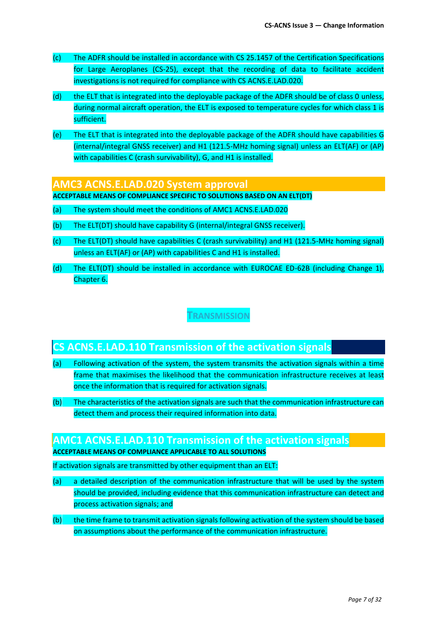- (c) The ADFR should be installed in accordance with CS 25.1457 of the Certification Specifications for Large Aeroplanes (CS-25), except that the recording of data to facilitate accident investigations is not required for compliance with CS ACNS.E.LAD.020.
- (d) the ELT that is integrated into the deployable package of the ADFR should be of class 0 unless, during normal aircraft operation, the ELT is exposed to temperature cycles for which class 1 is sufficient.
- (e) The ELT that is integrated into the deployable package of the ADFR should have capabilities G (internal/integral GNSS receiver) and H1 (121.5-MHz homing signal) unless an ELT(AF) or (AP) with capabilities C (crash survivability), G, and H1 is installed.

#### **AMC3 ACNS.E.LAD.020 System approval**

**ACCEPTABLE MEANS OF COMPLIANCE SPECIFIC TO SOLUTIONS BASED ON AN ELT(DT)**

- (a) The system should meet the conditions of AMC1 ACNS.E.LAD.020
- (b) The ELT(DT) should have capability G (internal/integral GNSS receiver).
- (c) The ELT(DT) should have capabilities C (crash survivability) and H1 (121.5-MHz homing signal) unless an ELT(AF) or (AP) with capabilities C and H1 is installed.
- (d) The ELT(DT) should be installed in accordance with EUROCAE ED-62B (including Change 1), Chapter 6.

**TRANSMISSION**

## **CS ACNS.E.LAD.110 Transmission of the activation signals**

- (a) Following activation of the system, the system transmits the activation signals within a time frame that maximises the likelihood that the communication infrastructure receives at least once the information that is required for activation signals.
- (b) The characteristics of the activation signals are such that the communication infrastructure can detect them and process their required information into data.

#### **AMC1 ACNS.E.LAD.110 Transmission of the activation signals ACCEPTABLE MEANS OF COMPLIANCE APPLICABLE TO ALL SOLUTIONS**

If activation signals are transmitted by other equipment than an ELT:

- (a) a detailed description of the communication infrastructure that will be used by the system should be provided, including evidence that this communication infrastructure can detect and process activation signals; and
- (b) the time frame to transmit activation signals following activation of the system should be based on assumptions about the performance of the communication infrastructure.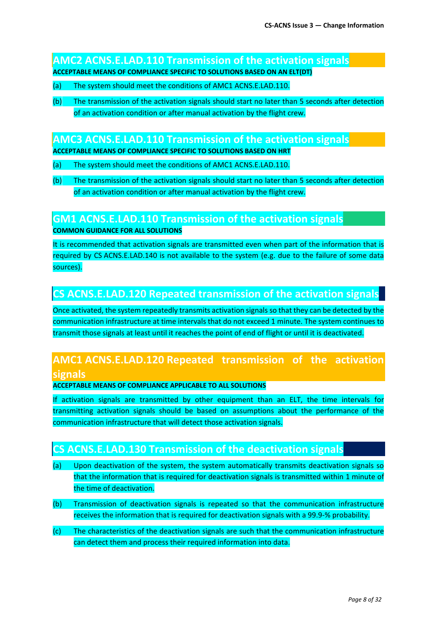### **AMC2 ACNS.E.LAD.110 Transmission of the activation signals ACCEPTABLE MEANS OF COMPLIANCE SPECIFIC TO SOLUTIONS BASED ON AN ELT(DT)**

- (a) The system should meet the conditions of AMC1 ACNS.E.LAD.110.
- (b) The transmission of the activation signals should start no later than 5 seconds after detection of an activation condition or after manual activation by the flight crew.

### **AMC3 ACNS.E.LAD.110 Transmission of the activation signals**

**ACCEPTABLE MEANS OF COMPLIANCE SPECIFIC TO SOLUTIONS BASED ON HRT**

- (a) The system should meet the conditions of AMC1 ACNS.E.LAD.110.
- (b) The transmission of the activation signals should start no later than 5 seconds after detection of an activation condition or after manual activation by the flight crew.

### **GM1 ACNS.E.LAD.110 Transmission of the activation signals COMMON GUIDANCE FOR ALL SOLUTIONS**

It is recommended that activation signals are transmitted even when part of the information that is required by CS ACNS.E.LAD.140 is not available to the system (e.g. due to the failure of some data sources).

## **CS ACNS.E.LAD.120 Repeated transmission of the activation signals**

Once activated, the system repeatedly transmits activation signals so that they can be detected by the communication infrastructure at time intervals that do not exceed 1 minute. The system continues to transmit those signals at least until it reaches the point of end of flight or until it is deactivated.

## **AMC1 ACNS.E.LAD.120 Repeated transmission of the activation signals**

**ACCEPTABLE MEANS OF COMPLIANCE APPLICABLE TO ALL SOLUTIONS**

If activation signals are transmitted by other equipment than an ELT, the time intervals for transmitting activation signals should be based on assumptions about the performance of the communication infrastructure that will detect those activation signals.

## **CS ACNS.E.LAD.130 Transmission of the deactivation signals**

- (a) Upon deactivation of the system, the system automatically transmits deactivation signals so that the information that is required for deactivation signals is transmitted within 1 minute of the time of deactivation.
- (b) Transmission of deactivation signals is repeated so that the communication infrastructure receives the information that is required for deactivation signals with a 99.9-% probability.
- (c) The characteristics of the deactivation signals are such that the communication infrastructure can detect them and process their required information into data.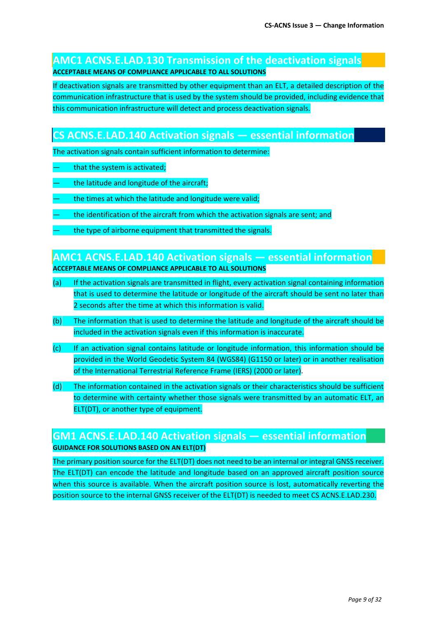### **AMC1 ACNS.E.LAD.130 Transmission of the deactivation signals ACCEPTABLE MEANS OF COMPLIANCE APPLICABLE TO ALL SOLUTIONS**

If deactivation signals are transmitted by other equipment than an ELT, a detailed description of the communication infrastructure that is used by the system should be provided, including evidence that this communication infrastructure will detect and process deactivation signals.

## **CS ACNS.E.LAD.140 Activation signals — essential information**

The activation signals contain sufficient information to determine:

- that the system is activated;
- the latitude and longitude of the aircraft:
- the times at which the latitude and longitude were valid;
- the identification of the aircraft from which the activation signals are sent; and
- the type of airborne equipment that transmitted the signals.

### **AMC1 ACNS.E.LAD.140 Activation signals — essential information ACCEPTABLE MEANS OF COMPLIANCE APPLICABLE TO ALL SOLUTIONS**

- (a) If the activation signals are transmitted in flight, every activation signal containing information that is used to determine the latitude or longitude of the aircraft should be sent no later than 2 seconds after the time at which this information is valid.
- (b) The information that is used to determine the latitude and longitude of the aircraft should be included in the activation signals even if this information is inaccurate.
- (c) If an activation signal contains latitude or longitude information, this information should be provided in the World Geodetic System 84 (WGS84) (G1150 or later) or in another realisation of the International Terrestrial Reference Frame (IERS) (2000 or later).
- (d) The information contained in the activation signals or their characteristics should be sufficient to determine with certainty whether those signals were transmitted by an automatic ELT, an ELT(DT), or another type of equipment.

#### **GM1 ACNS.E.LAD.140 Activation signals — essential information GUIDANCE FOR SOLUTIONS BASED ON AN ELT(DT)**

The primary position source for the ELT(DT) does not need to be an internal or integral GNSS receiver. The ELT(DT) can encode the latitude and longitude based on an approved aircraft position source when this source is available. When the aircraft position source is lost, automatically reverting the position source to the internal GNSS receiver of the ELT(DT) is needed to meet CS ACNS.E.LAD.230.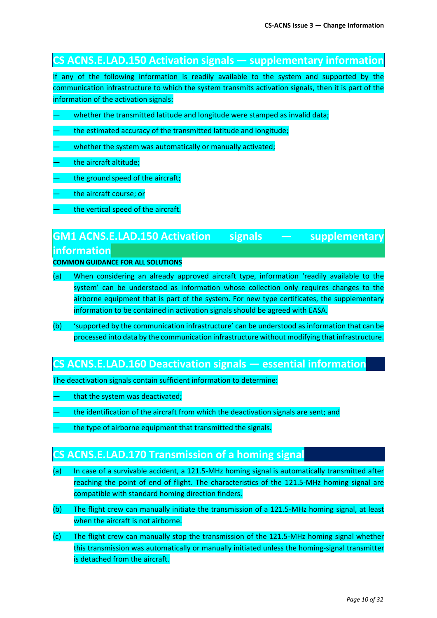### **CS ACNS.E.LAD.150 Activation signals — supplementary information**

If any of the following information is readily available to the system and supported by the communication infrastructure to which the system transmits activation signals, then it is part of the information of the activation signals:

- whether the transmitted latitude and longitude were stamped as invalid data;
- the estimated accuracy of the transmitted latitude and longitude;
- whether the system was automatically or manually activated;
- the aircraft altitude;
- the ground speed of the aircraft;
- the aircraft course; or
- the vertical speed of the aircraft.

## **GM1 ACNS.E.LAD.150 Activation signals — supplementary information**

**COMMON GUIDANCE FOR ALL SOLUTIONS**

- (a) When considering an already approved aircraft type, information 'readily available to the system' can be understood as information whose collection only requires changes to the airborne equipment that is part of the system. For new type certificates, the supplementary information to be contained in activation signals should be agreed with EASA.
- (b) 'supported by the communication infrastructure' can be understood as information that can be processed into data by the communication infrastructure without modifying that infrastructure.

## **CS ACNS.E.LAD.160 Deactivation signals — essential information**

The deactivation signals contain sufficient information to determine:

- that the system was deactivated;
- the identification of the aircraft from which the deactivation signals are sent; and
- the type of airborne equipment that transmitted the signals.

### **CS ACNS.E.LAD.170 Transmission of a homing signal**

- (a) In case of a survivable accident, a 121.5-MHz homing signal is automatically transmitted after reaching the point of end of flight. The characteristics of the 121.5-MHz homing signal are compatible with standard homing direction finders.
- (b) The flight crew can manually initiate the transmission of a 121.5-MHz homing signal, at least when the aircraft is not airborne.
- (c) The flight crew can manually stop the transmission of the 121.5-MHz homing signal whether this transmission was automatically or manually initiated unless the homing-signal transmitter is detached from the aircraft.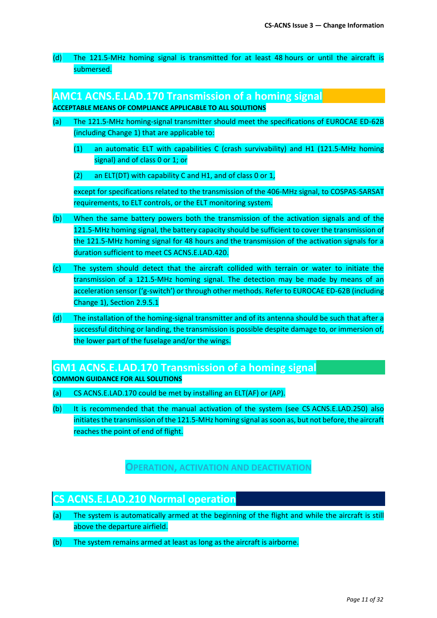(d) The 121.5-MHz homing signal is transmitted for at least 48 hours or until the aircraft is submersed.

#### **AMC1 ACNS.E.LAD.170 Transmission of a homing signal**

#### **ACCEPTABLE MEANS OF COMPLIANCE APPLICABLE TO ALL SOLUTIONS**

- (a) The 121.5-MHz homing-signal transmitter should meet the specifications of EUROCAE ED-62B (including Change 1) that are applicable to:
	- (1) an automatic ELT with capabilities C (crash survivability) and H1 (121.5-MHz homing signal) and of class 0 or 1; or
	- (2) an ELT(DT) with capability C and H1, and of class 0 or 1,

except for specifications related to the transmission of the 406-MHz signal, to COSPAS-SARSAT requirements, to ELT controls, or the ELT monitoring system.

- (b) When the same battery powers both the transmission of the activation signals and of the 121.5-MHz homing signal, the battery capacity should be sufficient to cover the transmission of the 121.5-MHz homing signal for 48 hours and the transmission of the activation signals for a duration sufficient to meet CS ACNS.E.LAD.420.
- (c) The system should detect that the aircraft collided with terrain or water to initiate the transmission of a 121.5-MHz homing signal. The detection may be made by means of an acceleration sensor ('g-switch') or through other methods. Refer to EUROCAE ED-62B (including Change 1), Section 2.9.5.1
- (d) The installation of the homing-signal transmitter and of its antenna should be such that after a successful ditching or landing, the transmission is possible despite damage to, or immersion of, the lower part of the fuselage and/or the wings.

## **GM1 ACNS.E.LAD.170 Transmission of a homing signal**

**COMMON GUIDANCE FOR ALL SOLUTIONS**

- (a) CS ACNS.E.LAD.170 could be met by installing an ELT(AF) or (AP).
- (b) It is recommended that the manual activation of the system (see CS ACNS.E.LAD.250) also initiates the transmission of the 121.5-MHz homing signal as soon as, but not before, the aircraft reaches the point of end of flight.

### **OPERATION, ACTIVATION AND DEACTIVATION**

### **CS ACNS.E.LAD.210 Normal operation**

- (a) The system is automatically armed at the beginning of the flight and while the aircraft is still above the departure airfield.
- (b) The system remains armed at least as long as the aircraft is airborne.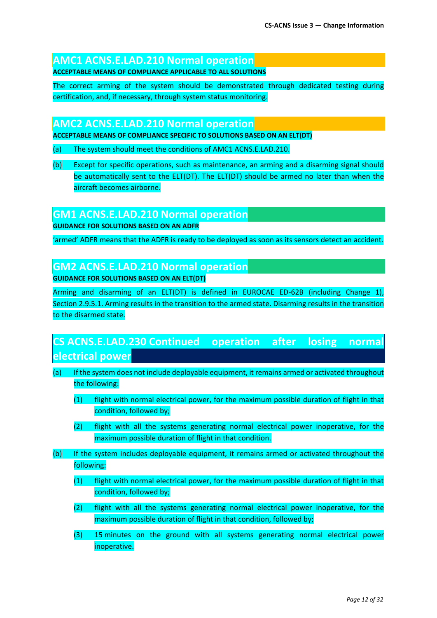## **AMC1 ACNS.E.LAD.210 Normal operation**

**ACCEPTABLE MEANS OF COMPLIANCE APPLICABLE TO ALL SOLUTIONS**

The correct arming of the system should be demonstrated through dedicated testing during certification, and, if necessary, through system status monitoring.

### **AMC2 ACNS.E.LAD.210 Normal operation**

**ACCEPTABLE MEANS OF COMPLIANCE SPECIFIC TO SOLUTIONS BASED ON AN ELT(DT)**

- (a) The system should meet the conditions of AMC1 ACNS.E.LAD.210.
- (b) Except for specific operations, such as maintenance, an arming and a disarming signal should be automatically sent to the ELT(DT). The ELT(DT) should be armed no later than when the aircraft becomes airborne.

### **GM1 ACNS.E.LAD.210 Normal operation**

**GUIDANCE FOR SOLUTIONS BASED ON AN ADFR**

'armed' ADFR means that the ADFR is ready to be deployed as soon as its sensors detect an accident.

## **GM2 ACNS.E.LAD.210 Normal operation**

**GUIDANCE FOR SOLUTIONS BASED ON AN ELT(DT)**

Arming and disarming of an ELT(DT) is defined in EUROCAE ED-62B (including Change 1), Section 2.9.5.1. Arming results in the transition to the armed state. Disarming results in the transition to the disarmed state.

# **CS ACNS.E.LAD.230 Continued operation after losing normal electrical power**

- (a) If the system does not include deployable equipment, it remains armed or activated throughout the following:
	- (1) flight with normal electrical power, for the maximum possible duration of flight in that condition, followed by;
	- (2) flight with all the systems generating normal electrical power inoperative, for the maximum possible duration of flight in that condition.
- (b) If the system includes deployable equipment, it remains armed or activated throughout the following:
	- (1) flight with normal electrical power, for the maximum possible duration of flight in that condition, followed by;
	- (2) flight with all the systems generating normal electrical power inoperative, for the maximum possible duration of flight in that condition, followed by;
	- (3) 15 minutes on the ground with all systems generating normal electrical power inoperative.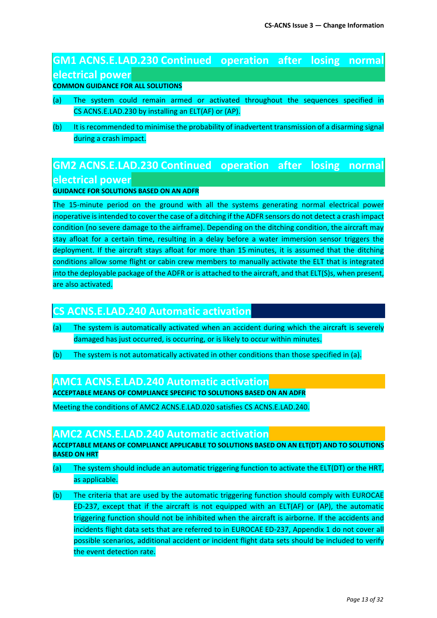# **GM1 ACNS.E.LAD.230 Continued operation after losing normal electrical power**

**COMMON GUIDANCE FOR ALL SOLUTIONS**

- (a) The system could remain armed or activated throughout the sequences specified in CS ACNS.E.LAD.230 by installing an ELT(AF) or (AP).
- (b) It is recommended to minimise the probability of inadvertent transmission of a disarming signal during a crash impact.

# **GM2 ACNS.E.LAD.230 Continued operation after losing normal electrical power**

#### **GUIDANCE FOR SOLUTIONS BASED ON AN ADFR**

The 15-minute period on the ground with all the systems generating normal electrical power inoperative is intended to cover the case of a ditching if the ADFR sensors do not detect a crash impact condition (no severe damage to the airframe). Depending on the ditching condition, the aircraft may stay afloat for a certain time, resulting in a delay before a water immersion sensor triggers the deployment. If the aircraft stays afloat for more than 15 minutes, it is assumed that the ditching conditions allow some flight or cabin crew members to manually activate the ELT that is integrated into the deployable package of the ADFR or is attached to the aircraft, and that ELT(S)s, when present, are also activated.

### **CS ACNS.E.LAD.240 Automatic activation**

- (a) The system is automatically activated when an accident during which the aircraft is severely damaged has just occurred, is occurring, or is likely to occur within minutes.
- (b) The system is not automatically activated in other conditions than those specified in (a).

### **AMC1 ACNS.E.LAD.240 Automatic activation**

**ACCEPTABLE MEANS OF COMPLIANCE SPECIFIC TO SOLUTIONS BASED ON AN ADFR**

Meeting the conditions of AMC2 ACNS.E.LAD.020 satisfies CS ACNS.E.LAD.240.

### **AMC2 ACNS.E.LAD.240 Automatic activation**

**ACCEPTABLE MEANS OF COMPLIANCE APPLICABLE TO SOLUTIONS BASED ON AN ELT(DT) AND TO SOLUTIONS BASED ON HRT**

- (a) The system should include an automatic triggering function to activate the ELT(DT) or the HRT, as applicable.
- (b) The criteria that are used by the automatic triggering function should comply with EUROCAE ED-237, except that if the aircraft is not equipped with an ELT(AF) or (AP), the automatic triggering function should not be inhibited when the aircraft is airborne. If the accidents and incidents flight data sets that are referred to in EUROCAE ED-237, Appendix 1 do not cover all possible scenarios, additional accident or incident flight data sets should be included to verify the event detection rate.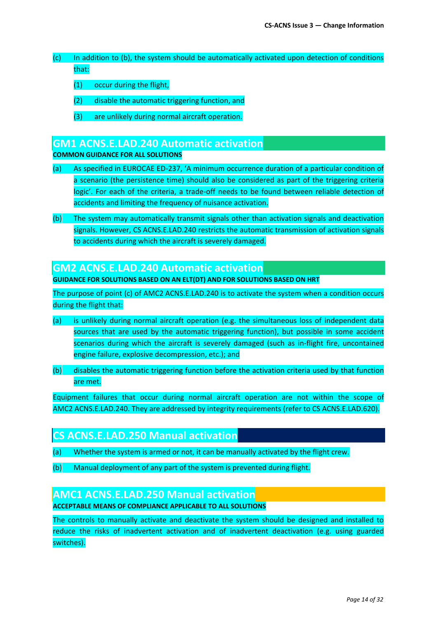- (c) In addition to (b), the system should be automatically activated upon detection of conditions that:
	- (1) occur during the flight,
	- (2) disable the automatic triggering function, and
	- (3) are unlikely during normal aircraft operation.

### **GM1 ACNS.E.LAD.240 Automatic activation**

#### **COMMON GUIDANCE FOR ALL SOLUTIONS**

- (a) As specified in EUROCAE ED-237, 'A minimum occurrence duration of a particular condition of a scenario (the persistence time) should also be considered as part of the triggering criteria logic'. For each of the criteria, a trade-off needs to be found between reliable detection of accidents and limiting the frequency of nuisance activation.
- (b) The system may automatically transmit signals other than activation signals and deactivation signals. However, CS ACNS.E.LAD.240 restricts the automatic transmission of activation signals to accidents during which the aircraft is severely damaged.

#### **GM2 ACNS.E.LAD.240 Automatic activation**

**GUIDANCE FOR SOLUTIONS BASED ON AN ELT(DT) AND FOR SOLUTIONS BASED ON HRT**

The purpose of point (c) of AMC2 ACNS.E.LAD.240 is to activate the system when a condition occurs during the flight that:

- (a) is unlikely during normal aircraft operation (e.g. the simultaneous loss of independent data sources that are used by the automatic triggering function), but possible in some accident scenarios during which the aircraft is severely damaged (such as in-flight fire, uncontained engine failure, explosive decompression, etc.); and
- (b) disables the automatic triggering function before the activation criteria used by that function are met.

Equipment failures that occur during normal aircraft operation are not within the scope of AMC2 ACNS.E.LAD.240. They are addressed by integrity requirements (refer to CS ACNS.E.LAD.620).

## **CS ACNS.E.LAD.250 Manual activation**

- (a) Whether the system is armed or not, it can be manually activated by the flight crew.
- (b) Manual deployment of any part of the system is prevented during flight.

#### **AMC1 ACNS.E.LAD.250 Manual activation**

#### **ACCEPTABLE MEANS OF COMPLIANCE APPLICABLE TO ALL SOLUTIONS**

The controls to manually activate and deactivate the system should be designed and installed to reduce the risks of inadvertent activation and of inadvertent deactivation (e.g. using guarded switches).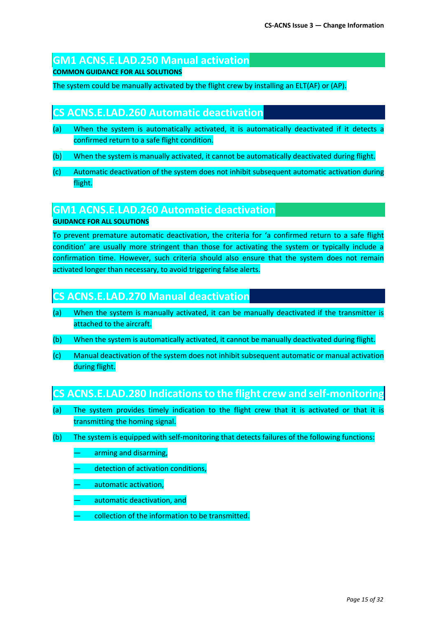## **GM1 ACNS.E.LAD.250 Manual activation**

**COMMON GUIDANCE FOR ALL SOLUTIONS**

The system could be manually activated by the flight crew by installing an ELT(AF) or (AP).

## **CS ACNS.E.LAD.260 Automatic deactivation**

- (a) When the system is automatically activated, it is automatically deactivated if it detects a confirmed return to a safe flight condition.
- (b) When the system is manually activated, it cannot be automatically deactivated during flight.
- (c) Automatic deactivation of the system does not inhibit subsequent automatic activation during flight.

### **GM1 ACNS.E.LAD.260 Automatic deactivation**

**GUIDANCE FOR ALL SOLUTIONS**

To prevent premature automatic deactivation, the criteria for 'a confirmed return to a safe flight condition' are usually more stringent than those for activating the system or typically include a confirmation time. However, such criteria should also ensure that the system does not remain activated longer than necessary, to avoid triggering false alerts.

## **CS ACNS.E.LAD.270 Manual deactivation**

- (a) When the system is manually activated, it can be manually deactivated if the transmitter is attached to the aircraft.
- (b) When the system is automatically activated, it cannot be manually deactivated during flight.
- (c) Manual deactivation of the system does not inhibit subsequent automatic or manual activation during flight.

## **CS ACNS.E.LAD.280 Indications to the flight crew and self-monitoring**

- (a) The system provides timely indication to the flight crew that it is activated or that it is transmitting the homing signal.
- (b) The system is equipped with self-monitoring that detects failures of the following functions:
	- arming and disarming,
	- detection of activation conditions,
	- automatic activation,
	- automatic deactivation, and
	- collection of the information to be transmitted.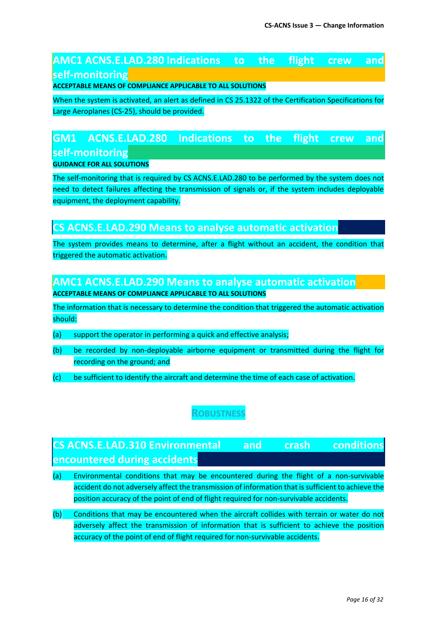## **AMC1 ACNS.E.LAD.280 Indications to the flight crew and self-monitoring**

**ACCEPTABLE MEANS OF COMPLIANCE APPLICABLE TO ALL SOLUTIONS**

When the system is activated, an alert as defined in CS 25.1322 of the Certification Specifications for Large Aeroplanes (CS-25), should be provided.

# **GM1 ACNS.E.LAD.280 Indications to the flight crew and self-monitoring**

#### **GUIDANCE FOR ALL SOLUTIONS**

The self-monitoring that is required by CS ACNS.E.LAD.280 to be performed by the system does not need to detect failures affecting the transmission of signals or, if the system includes deployable equipment, the deployment capability.

## **CS ACNS.E.LAD.290 Means to analyse automatic activation**

The system provides means to determine, after a flight without an accident, the condition that triggered the automatic activation.

**AMC1 ACNS.E.LAD.290 Means to analyse automatic activation ACCEPTABLE MEANS OF COMPLIANCE APPLICABLE TO ALL SOLUTIONS**

The information that is necessary to determine the condition that triggered the automatic activation should:

- (a) support the operator in performing a quick and effective analysis;
- (b) be recorded by non-deployable airborne equipment or transmitted during the flight for recording on the ground; and
- (c) be sufficient to identify the aircraft and determine the time of each case of activation.

## **ROBUSTNESS**

# **CS ACNS.E.LAD.310 Environmental and crash conditions encountered during accidents**

- (a) Environmental conditions that may be encountered during the flight of a non-survivable accident do not adversely affect the transmission of information that is sufficient to achieve the position accuracy of the point of end of flight required for non-survivable accidents.
- (b) Conditions that may be encountered when the aircraft collides with terrain or water do not adversely affect the transmission of information that is sufficient to achieve the position accuracy of the point of end of flight required for non-survivable accidents.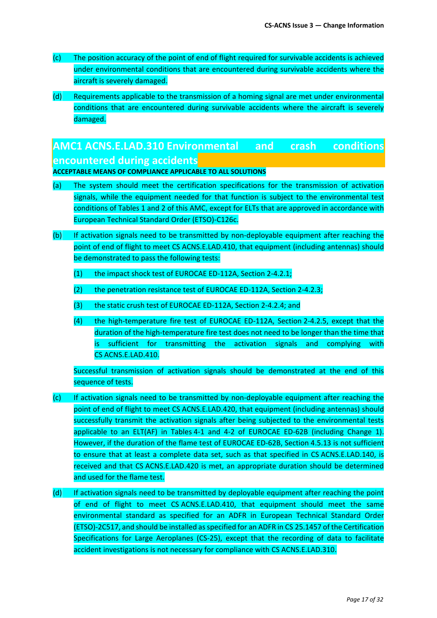- (c) The position accuracy of the point of end of flight required for survivable accidents is achieved under environmental conditions that are encountered during survivable accidents where the aircraft is severely damaged.
- (d) Requirements applicable to the transmission of a homing signal are met under environmental conditions that are encountered during survivable accidents where the aircraft is severely damaged.

# **AMC1 ACNS.E.LAD.310 Environmental and crash conditions encountered during accidents**

**ACCEPTABLE MEANS OF COMPLIANCE APPLICABLE TO ALL SOLUTIONS**

- (a) The system should meet the certification specifications for the transmission of activation signals, while the equipment needed for that function is subject to the environmental test conditions of Tables 1 and 2 of this AMC, except for ELTs that are approved in accordance with European Technical Standard Order (ETSO)-C126c.
- (b) If activation signals need to be transmitted by non-deployable equipment after reaching the point of end of flight to meet CS ACNS.E.LAD.410, that equipment (including antennas) should be demonstrated to pass the following tests:
	- (1) the impact shock test of EUROCAE ED-112A, Section 2-4.2.1;
	- (2) the penetration resistance test of EUROCAE ED-112A, Section 2-4.2.3;
	- (3) the static crush test of EUROCAE ED-112A, Section 2-4.2.4; and
	- (4) the high-temperature fire test of EUROCAE ED-112A, Section 2-4.2.5, except that the duration of the high-temperature fire test does not need to be longer than the time that is sufficient for transmitting the activation signals and complying with CS ACNS.E.LAD.410.

Successful transmission of activation signals should be demonstrated at the end of this sequence of tests.

- (c) If activation signals need to be transmitted by non-deployable equipment after reaching the point of end of flight to meet CS ACNS.E.LAD.420, that equipment (including antennas) should successfully transmit the activation signals after being subjected to the environmental tests applicable to an ELT(AF) in Tables 4-1 and 4-2 of EUROCAE ED-62B (including Change 1). However, if the duration of the flame test of EUROCAE ED-62B, Section 4.5.13 is not sufficient to ensure that at least a complete data set, such as that specified in CS ACNS.E.LAD.140, is received and that CS ACNS.E.LAD.420 is met, an appropriate duration should be determined and used for the flame test.
- (d) If activation signals need to be transmitted by deployable equipment after reaching the point of end of flight to meet CS ACNS.E.LAD.410, that equipment should meet the same environmental standard as specified for an ADFR in European Technical Standard Order (ETSO)-2C517, and should be installed as specified for an ADFR in CS 25.1457 of the Certification Specifications for Large Aeroplanes (CS-25), except that the recording of data to facilitate accident investigations is not necessary for compliance with CS ACNS.E.LAD.310.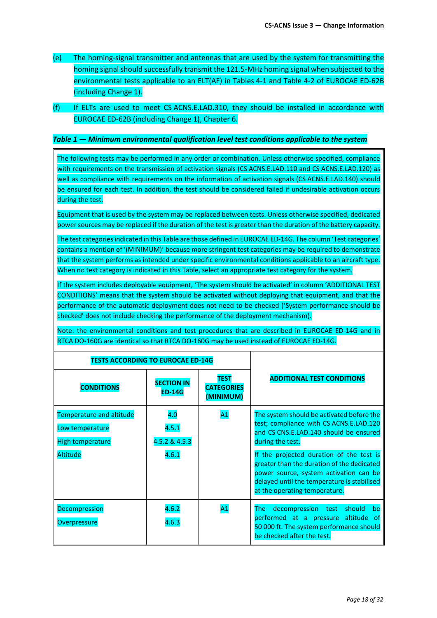- (e) The homing-signal transmitter and antennas that are used by the system for transmitting the homing signal should successfully transmit the 121.5-MHz homing signal when subjected to the environmental tests applicable to an ELT(AF) in Tables 4-1 and Table 4-2 of EUROCAE ED-62B (including Change 1).
- (f) If ELTs are used to meet CS ACNS.E.LAD.310, they should be installed in accordance with EUROCAE ED-62B (including Change 1), Chapter 6.

#### *Table 1 — Minimum environmental qualification level test conditions applicable to the system*

The following tests may be performed in any order or combination. Unless otherwise specified, compliance with requirements on the transmission of activation signals (CS ACNS.E.LAD.110 and CS ACNS.E.LAD.120) as well as compliance with requirements on the information of activation signals (CS ACNS.E.LAD.140) should be ensured for each test. In addition, the test should be considered failed if undesirable activation occurs during the test.

Equipment that is used by the system may be replaced between tests. Unless otherwise specified, dedicated power sources may be replaced if the duration of the test is greater than the duration of the battery capacity.

The test categories indicated in this Table are those defined in EUROCAE ED-14G. The column 'Test categories' contains a mention of '(MINIMUM)' because more stringent test categories may be required to demonstrate that the system performs as intended under specific environmental conditions applicable to an aircraft type. When no test category is indicated in this Table, select an appropriate test category for the system.

If the system includes deployable equipment, 'The system should be activated' in column 'ADDITIONAL TEST CONDITIONS' means that the system should be activated without deploying that equipment, and that the performance of the automatic deployment does not need to be checked ('System performance should be checked' does not include checking the performance of the deployment mechanism).

Note: the environmental conditions and test procedures that are described in EUROCAE ED-14G and in RTCA DO-160G are identical so that RTCA DO-160G may be used instead of EUROCAE ED-14G.

 $\perp$ 

| <b>TESTS ACCORDING TO EUROCAE ED-14G</b>                                                  |                                        |                                               |                                                                                                                                                                                                                                                                                                                                                                        |
|-------------------------------------------------------------------------------------------|----------------------------------------|-----------------------------------------------|------------------------------------------------------------------------------------------------------------------------------------------------------------------------------------------------------------------------------------------------------------------------------------------------------------------------------------------------------------------------|
| <b>CONDITIONS</b>                                                                         | <b>SECTION IN</b><br><b>ED-14G</b>     | <b>TEST</b><br><b>CATEGORIES</b><br>(MINIMUM) | <b>ADDITIONAL TEST CONDITIONS</b>                                                                                                                                                                                                                                                                                                                                      |
| <b>Temperature and altitude</b><br>Low temperature<br>High temperature<br><b>Altitude</b> | 4.0<br>4.5.1<br>4.5.2 & 4.5.3<br>4.6.1 | A <sub>1</sub>                                | The system should be activated before the<br>test; compliance with CS ACNS.E.LAD.120<br>and CS CNS.E.LAD.140 should be ensured<br>during the test.<br>If the projected duration of the test is<br>greater than the duration of the dedicated<br>power source, system activation can be<br>delayed until the temperature is stabilised<br>at the operating temperature. |
| <b>Decompression</b><br>Overpressure                                                      | 4.6.2<br>4.6.3                         | A <sub>1</sub>                                | decompression test should<br>be<br>The l<br>performed at a pressure altitude of<br>50 000 ft. The system performance should<br>be checked after the test.                                                                                                                                                                                                              |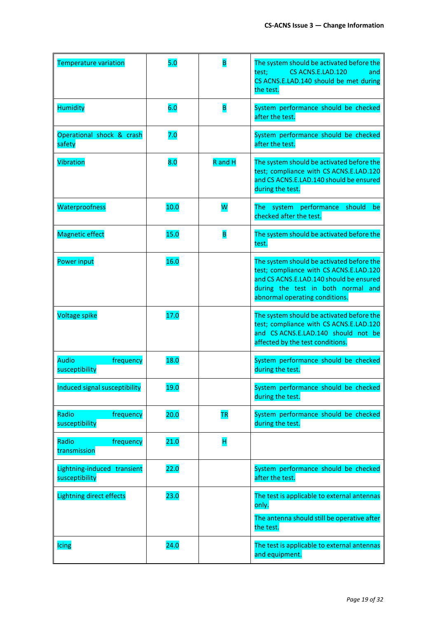| <b>Temperature variation</b>                  | 5.0  |           | The system should be activated before the<br>CS ACNS.E.LAD.120<br>test;<br>and<br>CS ACNS.E.LAD.140 should be met during<br>the test.                                                                   |
|-----------------------------------------------|------|-----------|---------------------------------------------------------------------------------------------------------------------------------------------------------------------------------------------------------|
| <b>Humidity</b>                               | 6.0  | B         | System performance should be checked<br>after the test.                                                                                                                                                 |
| Operational shock & crash<br>safety           | 7.0  |           | System performance should be checked<br>after the test.                                                                                                                                                 |
| Vibration                                     | 8.0  | R and H   | The system should be activated before the<br>test; compliance with CS ACNS.E.LAD.120<br>and CS ACNS.E.LAD.140 should be ensured<br>during the test.                                                     |
| Waterproofness                                | 10.0 | W         | The system performance<br>should<br>be<br>checked after the test.                                                                                                                                       |
| <b>Magnetic effect</b>                        | 15.0 | B         | The system should be activated before the<br>test.                                                                                                                                                      |
| Power input                                   | 16.0 |           | The system should be activated before the<br>test; compliance with CS ACNS.E.LAD.120<br>and CS ACNS.E.LAD.140 should be ensured<br>during the test in both normal and<br>abnormal operating conditions. |
| <b>Voltage spike</b>                          | 17.0 |           | The system should be activated before the<br>test; compliance with CS ACNS.E.LAD.120<br>and CS ACNS.E.LAD.140 should not be<br>affected by the test conditions.                                         |
| <b>Audio</b><br>frequency<br>susceptibility   | 18.0 |           | System performance should be checked<br>during the test.                                                                                                                                                |
| Induced signal susceptibility                 | 19.0 |           | System performance should be checked<br>during the test.                                                                                                                                                |
| Radio<br>frequency<br>susceptibility          | 20.0 | <b>TR</b> | System performance should be checked<br>during the test.                                                                                                                                                |
| Radio<br>frequency<br>transmission            | 21.0 | H         |                                                                                                                                                                                                         |
| Lightning-induced transient<br>susceptibility | 22.0 |           | System performance should be checked<br>after the test.                                                                                                                                                 |
| <b>Lightning direct effects</b>               | 23.0 |           | The test is applicable to external antennas<br>only.<br>The antenna should still be operative after<br>the test.                                                                                        |
| Icing                                         | 24.0 |           | The test is applicable to external antennas<br>and equipment.                                                                                                                                           |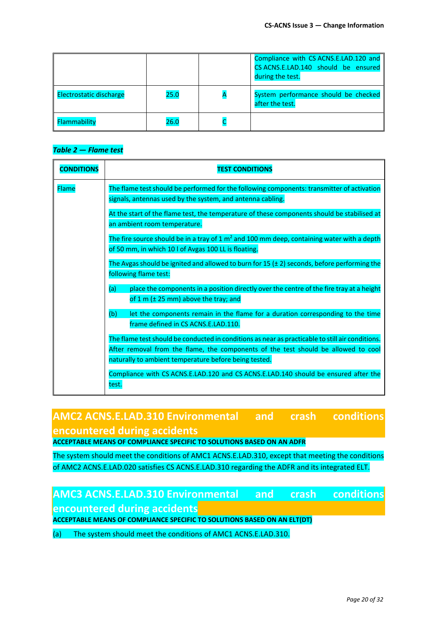|                                |      | Compliance with CS ACNS.E.LAD.120 and<br>CS ACNS.E.LAD.140 should be ensured<br>during the test. |
|--------------------------------|------|--------------------------------------------------------------------------------------------------|
| <b>Electrostatic discharge</b> | 25.0 | System performance should be checked<br>after the test.                                          |
| Flammability                   | 26.0 |                                                                                                  |

#### *Table 2 — Flame test*

| <b>CONDITIONS</b> | <b>TEST CONDITIONS</b>                                                                                                                                                                 |
|-------------------|----------------------------------------------------------------------------------------------------------------------------------------------------------------------------------------|
| <b>Flame</b>      | The flame test should be performed for the following components: transmitter of activation<br>signals, antennas used by the system, and antenna cabling.                               |
|                   | At the start of the flame test, the temperature of these components should be stabilised at<br>an ambient room temperature.                                                            |
|                   | The fire source should be in a tray of $1 \text{ m}^2$ and 100 mm deep, containing water with a depth<br>of 50 mm, in which 10 l of Avgas 100 LL is floating.                          |
|                   | The Avgas should be ignited and allowed to burn for 15 ( $\pm$ 2) seconds, before performing the<br>following flame test:                                                              |
|                   | place the components in a position directly over the centre of the fire tray at a height<br>(a)<br>of 1 m $(\pm 25 \text{ mm})$ above the tray; and                                    |
|                   | (b)<br>let the components remain in the flame for a duration corresponding to the time<br>frame defined in CS ACNS.E.LAD.110.                                                          |
|                   | The flame test should be conducted in conditions as near as practicable to still air conditions.<br>After removal from the flame, the components of the test should be allowed to cool |
|                   | naturally to ambient temperature before being tested.<br>Compliance with CS ACNS.E.LAD.120 and CS ACNS.E.LAD.140 should be ensured after the                                           |
|                   | test.                                                                                                                                                                                  |

# **AMC2 ACNS.E.LAD.310 Environmental and crash conditions encountered during accidents**

**ACCEPTABLE MEANS OF COMPLIANCE SPECIFIC TO SOLUTIONS BASED ON AN ADFR**

The system should meet the conditions of AMC1 ACNS.E.LAD.310, except that meeting the conditions of AMC2 ACNS.E.LAD.020 satisfies CS ACNS.E.LAD.310 regarding the ADFR and its integrated ELT.

# **AMC3 ACNS.E.LAD.310 Environmental and crash conditions encountered during accidents**

**ACCEPTABLE MEANS OF COMPLIANCE SPECIFIC TO SOLUTIONS BASED ON AN ELT(DT)**

(a) The system should meet the conditions of AMC1 ACNS.E.LAD.310.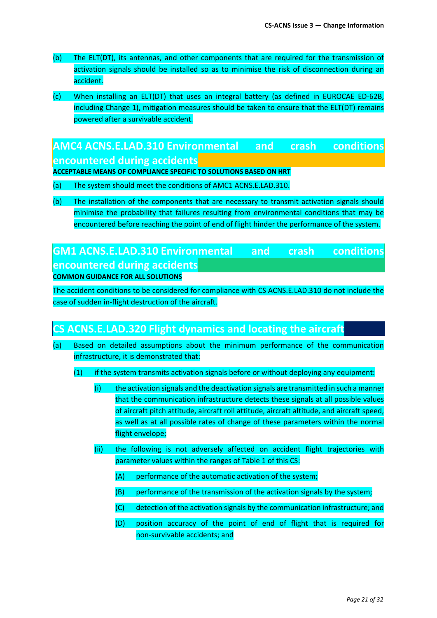- (b) The ELT(DT), its antennas, and other components that are required for the transmission of activation signals should be installed so as to minimise the risk of disconnection during an accident.
- (c) When installing an ELT(DT) that uses an integral battery (as defined in EUROCAE ED-62B, including Change 1), mitigation measures should be taken to ensure that the ELT(DT) remains powered after a survivable accident.

## **AMC4 ACNS.E.LAD.310 Environmental and crash conditions encountered during accidents**

**ACCEPTABLE MEANS OF COMPLIANCE SPECIFIC TO SOLUTIONS BASED ON HRT**

- (a) The system should meet the conditions of AMC1 ACNS.E.LAD.310.
- (b) The installation of the components that are necessary to transmit activation signals should minimise the probability that failures resulting from environmental conditions that may be encountered before reaching the point of end of flight hinder the performance of the system.

## **GM1 ACNS.E.LAD.310 Environmental and crash conditions encountered during accidents COMMON GUIDANCE FOR ALL SOLUTIONS**

The accident conditions to be considered for compliance with CS ACNS.E.LAD.310 do not include the case of sudden in-flight destruction of the aircraft.

## **CS ACNS.E.LAD.320 Flight dynamics and locating the aircraft**

- (a) Based on detailed assumptions about the minimum performance of the communication infrastructure, it is demonstrated that:
	- (1) if the system transmits activation signals before or without deploying any equipment:
		- (i) the activation signals and the deactivation signals are transmitted in such a manner that the communication infrastructure detects these signals at all possible values of aircraft pitch attitude, aircraft roll attitude, aircraft altitude, and aircraft speed, as well as at all possible rates of change of these parameters within the normal flight envelope;
		- (ii) the following is not adversely affected on accident flight trajectories with parameter values within the ranges of Table 1 of this CS:
			- (A) performance of the automatic activation of the system;
			- (B) performance of the transmission of the activation signals by the system;
			- (C) detection of the activation signals by the communication infrastructure; and
			- (D) position accuracy of the point of end of flight that is required for non-survivable accidents; and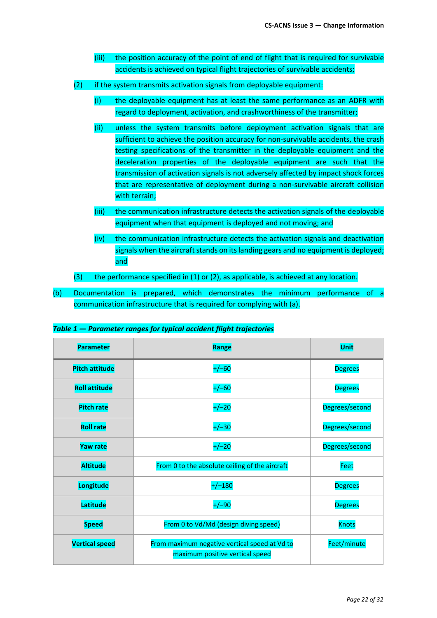- (iii) the position accuracy of the point of end of flight that is required for survivable accidents is achieved on typical flight trajectories of survivable accidents;
- $(2)$  if the system transmits activation signals from deployable equipment:
	- (i) the deployable equipment has at least the same performance as an ADFR with regard to deployment, activation, and crashworthiness of the transmitter;
	- (ii) unless the system transmits before deployment activation signals that are sufficient to achieve the position accuracy for non-survivable accidents, the crash testing specifications of the transmitter in the deployable equipment and the deceleration properties of the deployable equipment are such that the transmission of activation signals is not adversely affected by impact shock forces that are representative of deployment during a non-survivable aircraft collision with terrain;
	- (iii) the communication infrastructure detects the activation signals of the deployable equipment when that equipment is deployed and not moving; and
	- (iv) the communication infrastructure detects the activation signals and deactivation signals when the aircraft stands on its landing gears and no equipment is deployed; and
- $(3)$  the performance specified in  $(1)$  or  $(2)$ , as applicable, is achieved at any location.
- (b) Documentation is prepared, which demonstrates the minimum performance of a communication infrastructure that is required for complying with (a).

| Table 1 - Parameter ranges for typical accident flight trajectories |  |
|---------------------------------------------------------------------|--|
|---------------------------------------------------------------------|--|

| <b>Parameter</b>      | Range                                                                            | <b>Unit</b>    |  |
|-----------------------|----------------------------------------------------------------------------------|----------------|--|
| <b>Pitch attitude</b> | $+/-60$                                                                          | <b>Degrees</b> |  |
| <b>Roll attitude</b>  | $+/-60$                                                                          |                |  |
| <b>Pitch rate</b>     | $+/-20$                                                                          | Degrees/second |  |
| <b>Roll rate</b>      | $+/-30$                                                                          | Degrees/second |  |
| <b>Yaw rate</b>       | $+/-20$                                                                          | Degrees/second |  |
| <b>Altitude</b>       | From 0 to the absolute ceiling of the aircraft                                   | Feet           |  |
| Longitude             | $+/-180$                                                                         | <b>Degrees</b> |  |
| Latitude              | $+/-90$                                                                          | <b>Degrees</b> |  |
| <b>Speed</b>          | From 0 to Vd/Md (design diving speed)                                            | <b>Knots</b>   |  |
| <b>Vertical speed</b> | From maximum negative vertical speed at Vd to<br>maximum positive vertical speed | Feet/minute    |  |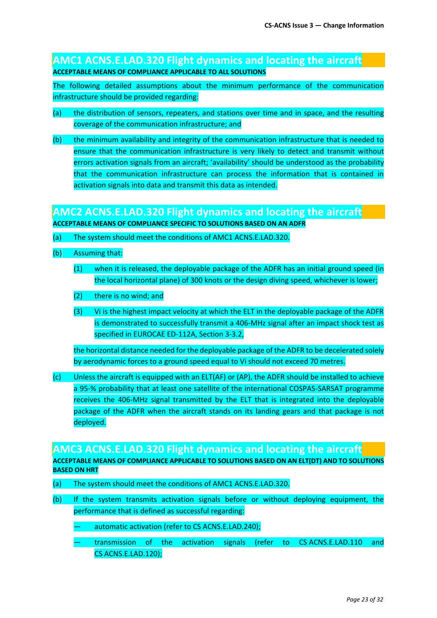### **AMC1 ACNS.E.LAD.320 Flight dynamics and locating the aircraft ACCEPTABLE MEANS OF COMPLIANCE APPLICABLE TO ALL SOLUTIONS**

The following detailed assumptions about the minimum performance of the communication infrastructure should be provided regarding:

- (a) the distribution of sensors, repeaters, and stations over time and in space, and the resulting coverage of the communication infrastructure; and
- (b) the minimum availability and integrity of the communication infrastructure that is needed to ensure that the communication infrastructure is very likely to detect and transmit without errors activation signals from an aircraft; 'availability' should be understood as the probability that the communication infrastructure can process the information that is contained in activation signals into data and transmit this data as intended.

## **AMC2 ACNS.E.LAD.320 Flight dynamics and locating the aircraft**

**ACCEPTABLE MEANS OF COMPLIANCE SPECIFIC TO SOLUTIONS BASED ON AN ADFR**

- (a) The system should meet the conditions of AMC1 ACNS.E.LAD.320.
- (b) Assuming that:
	- (1) when it is released, the deployable package of the ADFR has an initial ground speed (in the local horizontal plane) of 300 knots or the design diving speed, whichever is lower;
	- (2) there is no wind; and
	- (3) Vi is the highest impact velocity at which the ELT in the deployable package of the ADFR is demonstrated to successfully transmit a 406-MHz signal after an impact shock test as specified in EUROCAE ED-112A, Section 3-3.2,

the horizontal distance needed for the deployable package of the ADFR to be decelerated solely by aerodynamic forces to a ground speed equal to Vi should not exceed 70 metres.

(c) Unless the aircraft is equipped with an ELT(AF) or (AP), the ADFR should be installed to achieve a 95-% probability that at least one satellite of the international COSPAS-SARSAT programme receives the 406-MHz signal transmitted by the ELT that is integrated into the deployable package of the ADFR when the aircraft stands on its landing gears and that package is not deployed.

#### **AMC3 ACNS.E.LAD.320 Flight dynamics and locating the aircraft**

**ACCEPTABLE MEANS OF COMPLIANCE APPLICABLE TO SOLUTIONS BASED ON AN ELT(DT) AND TO SOLUTIONS BASED ON HRT**

- (a) The system should meet the conditions of AMC1 ACNS.E.LAD.320.
- (b) If the system transmits activation signals before or without deploying equipment, the performance that is defined as successful regarding:
	- automatic activation (refer to CS ACNS.E.LAD.240);
	- transmission of the activation signals (refer to CS ACNS.E.LAD.110 and CS ACNS.E.LAD.120);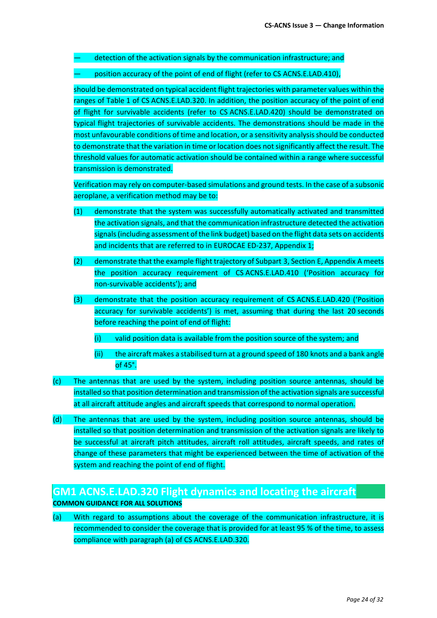detection of the activation signals by the communication infrastructure; and

position accuracy of the point of end of flight (refer to CS ACNS.E.LAD.410),

should be demonstrated on typical accident flight trajectories with parameter values within the ranges of Table 1 of CS ACNS.E.LAD.320. In addition, the position accuracy of the point of end of flight for survivable accidents (refer to CS ACNS.E.LAD.420) should be demonstrated on typical flight trajectories of survivable accidents. The demonstrations should be made in the most unfavourable conditions of time and location, or a sensitivity analysis should be conducted to demonstrate that the variation in time or location does not significantly affect the result. The threshold values for automatic activation should be contained within a range where successful transmission is demonstrated.

Verification may rely on computer-based simulations and ground tests. In the case of a subsonic aeroplane, a verification method may be to:

- (1) demonstrate that the system was successfully automatically activated and transmitted the activation signals, and that the communication infrastructure detected the activation signals(including assessment of the link budget) based on the flight data sets on accidents and incidents that are referred to in EUROCAE ED-237, Appendix 1;
- (2) demonstrate that the example flight trajectory of Subpart 3, Section E, Appendix A meets the position accuracy requirement of CS ACNS.E.LAD.410 ('Position accuracy for non-survivable accidents'); and
- (3) demonstrate that the position accuracy requirement of CS ACNS.E.LAD.420 ('Position accuracy for survivable accidents') is met, assuming that during the last 20 seconds before reaching the point of end of flight:
	- (i) valid position data is available from the position source of the system; and
	- (ii) the aircraft makes a stabilised turn at a ground speed of 180 knots and a bank angle of 45°.
- (c) The antennas that are used by the system, including position source antennas, should be installed so that position determination and transmission of the activation signals are successful at all aircraft attitude angles and aircraft speeds that correspond to normal operation.
- (d) The antennas that are used by the system, including position source antennas, should be installed so that position determination and transmission of the activation signals are likely to be successful at aircraft pitch attitudes, aircraft roll attitudes, aircraft speeds, and rates of change of these parameters that might be experienced between the time of activation of the system and reaching the point of end of flight.

## **GM1 ACNS.E.LAD.320 Flight dynamics and locating the aircraft**

**COMMON GUIDANCE FOR ALL SOLUTIONS**

(a) With regard to assumptions about the coverage of the communication infrastructure, it is recommended to consider the coverage that is provided for at least 95 % of the time, to assess compliance with paragraph (a) of CS ACNS.E.LAD.320.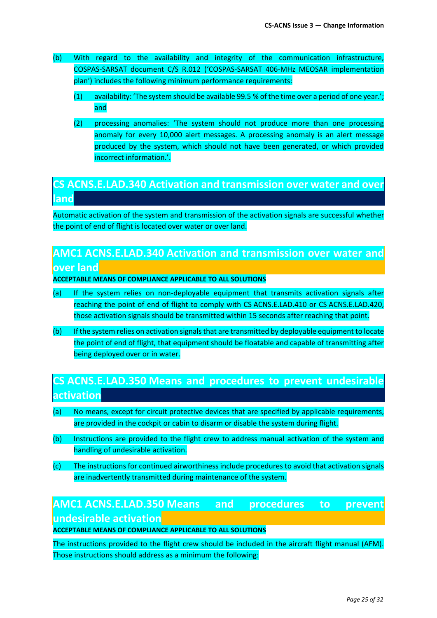- (b) With regard to the availability and integrity of the communication infrastructure, COSPAS-SARSAT document C/S R.012 ('COSPAS-SARSAT 406-MHz MEOSAR implementation plan') includes the following minimum performance requirements:
	- (1) availability: 'The system should be available 99.5 % of the time over a period of one year.'; and
	- (2) processing anomalies: 'The system should not produce more than one processing anomaly for every 10,000 alert messages. A processing anomaly is an alert message produced by the system, which should not have been generated, or which provided incorrect information.'.

## **CS ACNS.E.LAD.340 Activation and transmission over water and over land**

Automatic activation of the system and transmission of the activation signals are successful whether the point of end of flight is located over water or over land.

## **AMC1 ACNS.E.LAD.340 Activation and transmission over water and over land**

#### **ACCEPTABLE MEANS OF COMPLIANCE APPLICABLE TO ALL SOLUTIONS**

- (a) If the system relies on non-deployable equipment that transmits activation signals after reaching the point of end of flight to comply with CS ACNS.E.LAD.410 or CS ACNS.E.LAD.420, those activation signals should be transmitted within 15 seconds after reaching that point.
- (b) If the system relies on activation signals that are transmitted by deployable equipment to locate the point of end of flight, that equipment should be floatable and capable of transmitting after being deployed over or in water.

# **CS ACNS.E.LAD.350 Means and procedures to prevent undesirable activation**

- (a) No means, except for circuit protective devices that are specified by applicable requirements, are provided in the cockpit or cabin to disarm or disable the system during flight.
- (b) Instructions are provided to the flight crew to address manual activation of the system and handling of undesirable activation.
- (c) The instructions for continued airworthiness include procedures to avoid that activation signals are inadvertently transmitted during maintenance of the system.

# **AMC1 ACNS.E.LAD.350 Means and procedures to prevent undesirable activation**

**ACCEPTABLE MEANS OF COMPLIANCE APPLICABLE TO ALL SOLUTIONS**

The instructions provided to the flight crew should be included in the aircraft flight manual (AFM). Those instructions should address as a minimum the following: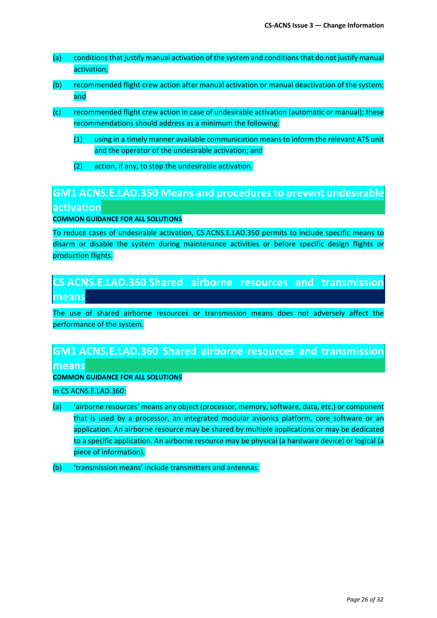- (a) conditions that justify manual activation of the system and conditions that do not justify manual activation;
- (b) recommended flight crew action after manual activation or manual deactivation of the system; and
- (c) recommended flight crew action in case of undesirable activation (automatic or manual); these recommendations should address as a minimum the following:
	- (1) using in a timely manner available communication means to inform the relevant ATS unit and the operator of the undesirable activation; and
	- (2) action, if any, to stop the undesirable activation.

# **GM1 ACNS.E.LAD.350 Means and procedures to prevent undesirable activation**

**COMMON GUIDANCE FOR ALL SOLUTIONS**

To reduce cases of undesirable activation, CS ACNS.E.LAD.350 permits to include specific means to disarm or disable the system during maintenance activities or before specific design flights or production flights.

## **CS ACNS.E.LAD.360 Shared airborne resources and transmission means**

The use of shared airborne resources or transmission means does not adversely affect the performance of the system.

## **GM1 ACNS.E.LAD.360 Shared airborne resources and transmission means**

#### **COMMON GUIDANCE FOR ALL SOLUTIONS**

In CS ACNS.E.LAD.360:

- (a) 'airborne resources' means any object (processor, memory, software, data, etc.) or component that is used by a processor, an integrated modular avionics platform, core software or an application. An airborne resource may be shared by multiple applications or may be dedicated to a specific application. An airborne resource may be physical (a hardware device) or logical (a piece of information).
- (b) 'transmission means' include transmitters and antennas.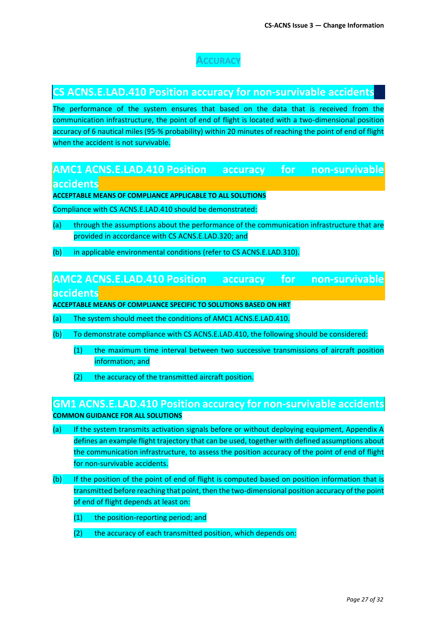## **ACCURACY**

## **CS ACNS.E.LAD.410 Position accuracy for non-survivable accidents**

The performance of the system ensures that based on the data that is received from the communication infrastructure, the point of end of flight is located with a two-dimensional position accuracy of 6 nautical miles (95-% probability) within 20 minutes of reaching the point of end of flight when the accident is not survivable.

## **AMC1 ACNS.E.LAD.410 Position accuracy for non-survivable accidents**

**ACCEPTABLE MEANS OF COMPLIANCE APPLICABLE TO ALL SOLUTIONS**

Compliance with CS ACNS.E.LAD.410 should be demonstrated:

- (a) through the assumptions about the performance of the communication infrastructure that are provided in accordance with CS ACNS.E.LAD.320; and
- (b) in applicable environmental conditions (refer to CS ACNS.E.LAD.310).

## **AMC2 ACNS.E.LAD.410 Position accuracy for non-survivable accidents**

**ACCEPTABLE MEANS OF COMPLIANCE SPECIFIC TO SOLUTIONS BASED ON HRT**

- (a) The system should meet the conditions of AMC1 ACNS.E.LAD.410.
- (b) To demonstrate compliance with CS ACNS.E.LAD.410, the following should be considered:
	- (1) the maximum time interval between two successive transmissions of aircraft position information; and
	- (2) the accuracy of the transmitted aircraft position.

### **GM1 ACNS.E.LAD.410 Position accuracy for non-survivable accidents COMMON GUIDANCE FOR ALL SOLUTIONS**

- (a) If the system transmits activation signals before or without deploying equipment, Appendix A defines an example flight trajectory that can be used, together with defined assumptions about the communication infrastructure, to assess the position accuracy of the point of end of flight for non-survivable accidents.
- (b) If the position of the point of end of flight is computed based on position information that is transmitted before reaching that point, then the two-dimensional position accuracy of the point of end of flight depends at least on:
	- (1) the position-reporting period; and
	- (2) the accuracy of each transmitted position, which depends on: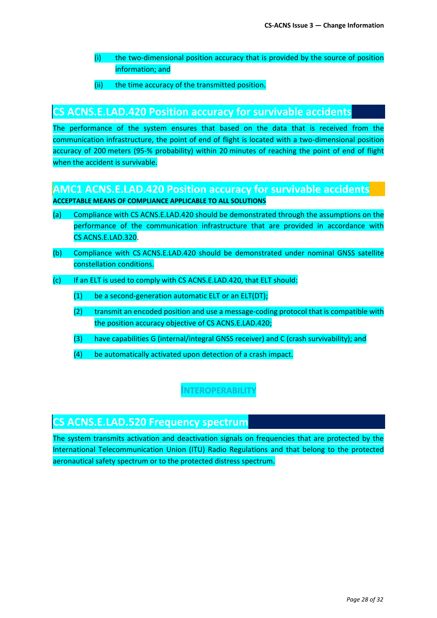- (i) the two-dimensional position accuracy that is provided by the source of position information; and
- (ii) the time accuracy of the transmitted position.

### **CS ACNS.E.LAD.420 Position accuracy for survivable accidents**

The performance of the system ensures that based on the data that is received from the communication infrastructure, the point of end of flight is located with a two-dimensional position accuracy of 200 meters (95-% probability) within 20 minutes of reaching the point of end of flight when the accident is survivable.

## **AMC1 ACNS.E.LAD.420 Position accuracy for survivable accidents**

**ACCEPTABLE MEANS OF COMPLIANCE APPLICABLE TO ALL SOLUTIONS**

- (a) Compliance with CS ACNS.E.LAD.420 should be demonstrated through the assumptions on the performance of the communication infrastructure that are provided in accordance with CS ACNS.E.LAD.320.
- (b) Compliance with CS ACNS.E.LAD.420 should be demonstrated under nominal GNSS satellite constellation conditions.
- (c) If an ELT is used to comply with CS ACNS.E.LAD.420, that ELT should:
	- (1) be a second-generation automatic ELT or an ELT(DT);
	- (2) transmit an encoded position and use a message-coding protocol that is compatible with the position accuracy objective of CS ACNS.E.LAD.420;
	- (3) have capabilities G (internal/integral GNSS receiver) and C (crash survivability); and
	- (4) be automatically activated upon detection of a crash impact.

**INTEROPERABILITY**

## **CS ACNS.E.LAD.520 Frequency spectrum**

The system transmits activation and deactivation signals on frequencies that are protected by the International Telecommunication Union (ITU) Radio Regulations and that belong to the protected aeronautical safety spectrum or to the protected distress spectrum.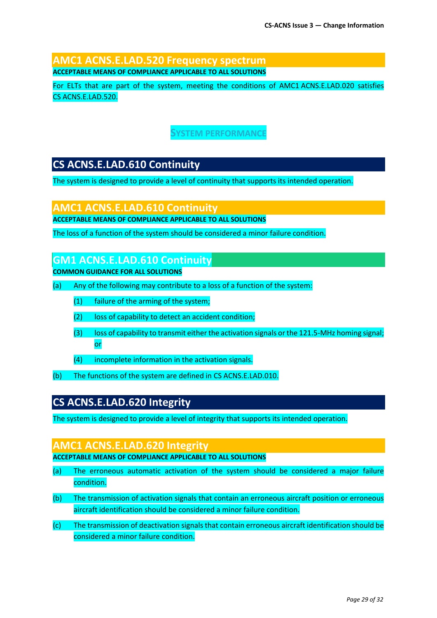### **AMC1 ACNS.E.LAD.520 Frequency spectrum ACCEPTABLE MEANS OF COMPLIANCE APPLICABLE TO ALL SOLUTIONS**

For ELTs that are part of the system, meeting the conditions of AMC1 ACNS.E.LAD.020 satisfies CS ACNS.E.LAD.520.

### **SYSTEM PERFORMANCE**

## **CS ACNS.E.LAD.610 Continuity**

The system is designed to provide a level of continuity that supports its intended operation.

## **AMC1 ACNS.E.LAD.610 Continuity**

**ACCEPTABLE MEANS OF COMPLIANCE APPLICABLE TO ALL SOLUTIONS**

The loss of a function of the system should be considered a minor failure condition.

### **GM1 ACNS.E.LAD.610 Continuity**

**COMMON GUIDANCE FOR ALL SOLUTIONS**

- (a) Any of the following may contribute to a loss of a function of the system:
	- (1) failure of the arming of the system;
	- (2) loss of capability to detect an accident condition;
	- (3) loss of capability to transmit either the activation signals or the 121.5-MHz homing signal; or
	- (4) incomplete information in the activation signals.
- (b) The functions of the system are defined in CS ACNS.E.LAD.010.

## **CS ACNS.E.LAD.620 Integrity**

The system is designed to provide a level of integrity that supports its intended operation.

#### **AMC1 ACNS.E.LAD.620 Integrity**

**ACCEPTABLE MEANS OF COMPLIANCE APPLICABLE TO ALL SOLUTIONS**

- (a) The erroneous automatic activation of the system should be considered a major failure condition.
- (b) The transmission of activation signals that contain an erroneous aircraft position or erroneous aircraft identification should be considered a minor failure condition.
- (c) The transmission of deactivation signals that contain erroneous aircraft identification should be considered a minor failure condition.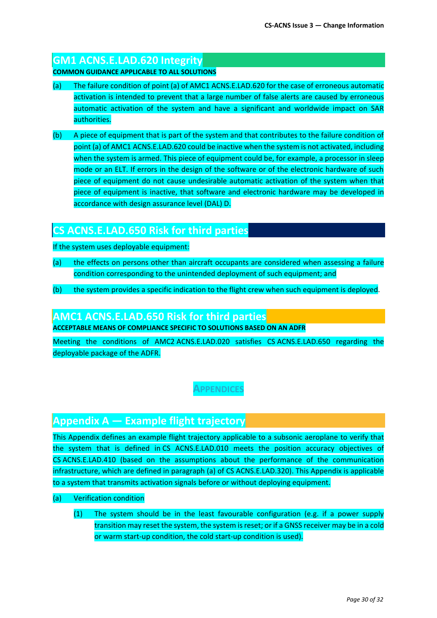## **GM1 ACNS.E.LAD.620 Integrity**

**COMMON GUIDANCE APPLICABLE TO ALL SOLUTIONS**

- (a) The failure condition of point (a) of AMC1 ACNS.E.LAD.620 for the case of erroneous automatic activation is intended to prevent that a large number of false alerts are caused by erroneous automatic activation of the system and have a significant and worldwide impact on SAR authorities.
- (b) A piece of equipment that is part of the system and that contributes to the failure condition of point (a) of AMC1 ACNS.E.LAD.620 could be inactive when the system is not activated, including when the system is armed. This piece of equipment could be, for example, a processor in sleep mode or an ELT. If errors in the design of the software or of the electronic hardware of such piece of equipment do not cause undesirable automatic activation of the system when that piece of equipment is inactive, that software and electronic hardware may be developed in accordance with design assurance level (DAL) D.

## **CS ACNS.E.LAD.650 Risk for third parties**

If the system uses deployable equipment:

- (a) the effects on persons other than aircraft occupants are considered when assessing a failure condition corresponding to the unintended deployment of such equipment; and
- (b) the system provides a specific indication to the flight crew when such equipment is deployed.

### **AMC1 ACNS.E.LAD.650 Risk for third parties**

**ACCEPTABLE MEANS OF COMPLIANCE SPECIFIC TO SOLUTIONS BASED ON AN ADFR**

Meeting the conditions of AMC2 ACNS.E.LAD.020 satisfies CS ACNS.E.LAD.650 regarding the deployable package of the ADFR.

### **APPENDICES**

## **Appendix A — Example flight trajectory**

This Appendix defines an example flight trajectory applicable to a subsonic aeroplane to verify that the system that is defined in CS ACNS.E.LAD.010 meets the position accuracy objectives of CS ACNS.E.LAD.410 (based on the assumptions about the performance of the communication infrastructure, which are defined in paragraph (a) of CS ACNS.E.LAD.320). This Appendix is applicable to a system that transmits activation signals before or without deploying equipment.

#### (a) Verification condition

(1) The system should be in the least favourable configuration (e.g. if a power supply transition may reset the system, the system is reset; or if a GNSS receiver may be in a cold or warm start-up condition, the cold start-up condition is used).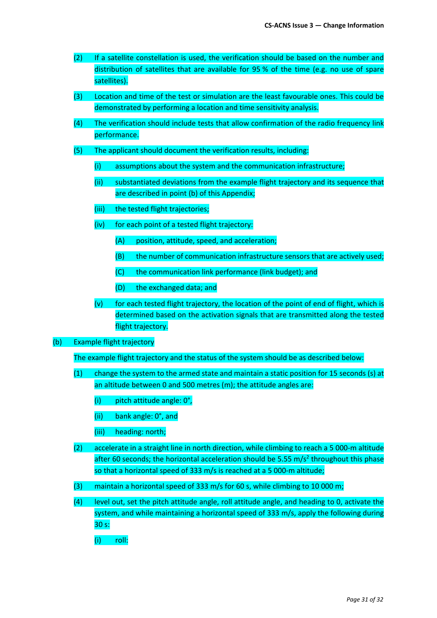- (2) If a satellite constellation is used, the verification should be based on the number and distribution of satellites that are available for 95 % of the time (e.g. no use of spare satellites).
- (3) Location and time of the test or simulation are the least favourable ones. This could be demonstrated by performing a location and time sensitivity analysis.
- (4) The verification should include tests that allow confirmation of the radio frequency link performance.
- (5) The applicant should document the verification results, including:
	- (i) assumptions about the system and the communication infrastructure;
	- (ii) substantiated deviations from the example flight trajectory and its sequence that are described in point (b) of this Appendix;
	- (iii) the tested flight trajectories;
	- (iv) for each point of a tested flight trajectory:
		- (A) position, attitude, speed, and acceleration;
		- (B) the number of communication infrastructure sensors that are actively used;
		- (C) the communication link performance (link budget); and
		- (D) the exchanged data; and
	- (v) for each tested flight trajectory, the location of the point of end of flight, which is determined based on the activation signals that are transmitted along the tested flight trajectory.
- (b) Example flight trajectory

The example flight trajectory and the status of the system should be as described below:

- (1) change the system to the armed state and maintain a static position for 15 seconds (s) at an altitude between 0 and 500 metres (m); the attitude angles are:
	- (i) pitch attitude angle: 0°,
	- (ii) bank angle: 0°, and
	- (iii) heading: north;
- (2) accelerate in a straight line in north direction, while climbing to reach a 5 000-m altitude after 60 seconds; the horizontal acceleration should be 5.55 m/s<sup>2</sup> throughout this phase so that a horizontal speed of 333 m/s is reached at a 5 000-m altitude;
- (3) maintain a horizontal speed of 333 m/s for 60 s, while climbing to 10 000 m;
- (4) level out, set the pitch attitude angle, roll attitude angle, and heading to 0, activate the system, and while maintaining a horizontal speed of 333 m/s, apply the following during 30 s:
	- (i) roll: